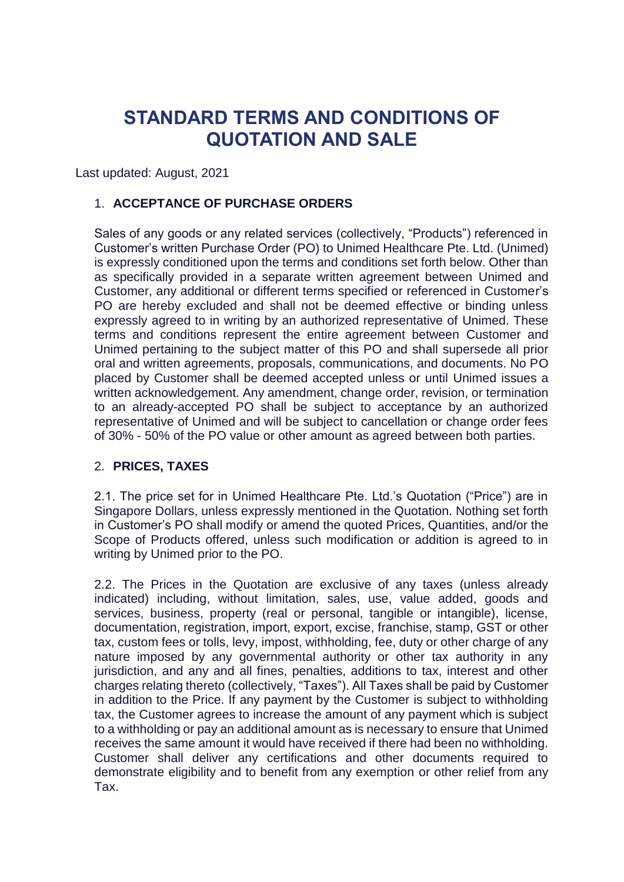# **STANDARD TERMS AND CONDITIONS OF QUOTATION AND SALE**

Last updated: August, 2021

# 1. **ACCEPTANCE OF PURCHASE ORDERS**

Sales of any goods or any related services (collectively, "Products") referenced in Customer's written Purchase Order (PO) to Unimed Healthcare Pte. Ltd. (Unimed) is expressly conditioned upon the terms and conditions set forth below. Other than as specifically provided in a separate written agreement between Unimed and Customer, any additional or different terms specified or referenced in Customer's PO are hereby excluded and shall not be deemed effective or binding unless expressly agreed to in writing by an authorized representative of Unimed. These terms and conditions represent the entire agreement between Customer and Unimed pertaining to the subject matter of this PO and shall supersede all prior oral and written agreements, proposals, communications, and documents. No PO placed by Customer shall be deemed accepted unless or until Unimed issues a written acknowledgement. Any amendment, change order, revision, or termination to an already-accepted PO shall be subject to acceptance by an authorized representative of Unimed and will be subject to cancellation or change order fees of 30% - 50% of the PO value or other amount as agreed between both parties.

# 2. **PRICES, TAXES**

2.1. The price set for in Unimed Healthcare Pte. Ltd.'s Quotation ("Price") are in Singapore Dollars, unless expressly mentioned in the Quotation. Nothing set forth in Customer's PO shall modify or amend the quoted Prices, Quantities, and/or the Scope of Products offered, unless such modification or addition is agreed to in writing by Unimed prior to the PO.

2.2. The Prices in the Quotation are exclusive of any taxes (unless already indicated) including, without limitation, sales, use, value added, goods and services, business, property (real or personal, tangible or intangible), license, documentation, registration, import, export, excise, franchise, stamp, GST or other tax, custom fees or tolls, levy, impost, withholding, fee, duty or other charge of any nature imposed by any governmental authority or other tax authority in any jurisdiction, and any and all fines, penalties, additions to tax, interest and other charges relating thereto (collectively, "Taxes"). All Taxes shall be paid by Customer in addition to the Price. If any payment by the Customer is subject to withholding tax, the Customer agrees to increase the amount of any payment which is subject to a withholding or pay an additional amount as is necessary to ensure that Unimed receives the same amount it would have received if there had been no withholding. Customer shall deliver any certifications and other documents required to demonstrate eligibility and to benefit from any exemption or other relief from any Tax.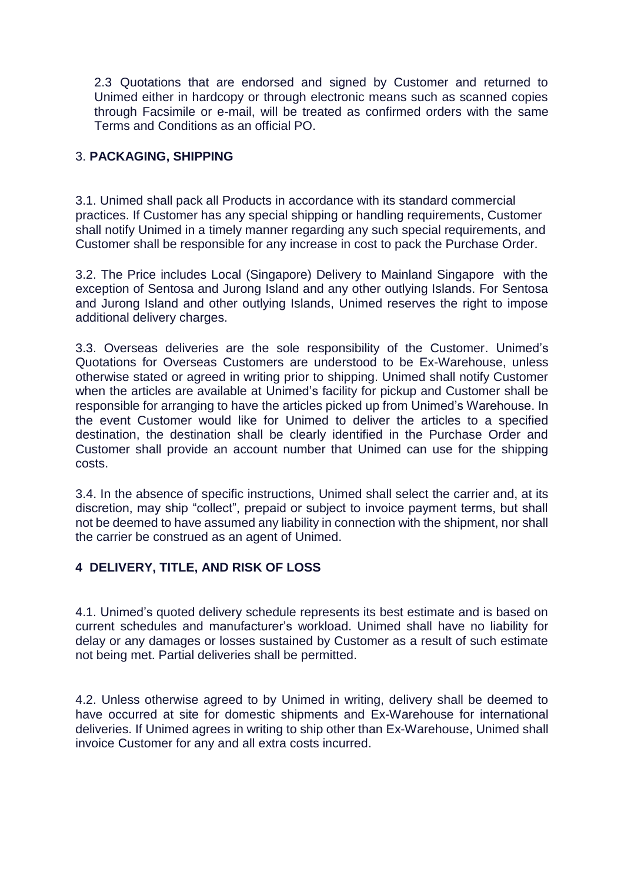2.3 Quotations that are endorsed and signed by Customer and returned to Unimed either in hardcopy or through electronic means such as scanned copies through Facsimile or e-mail, will be treated as confirmed orders with the same Terms and Conditions as an official PO.

# 3. **PACKAGING, SHIPPING**

3.1. Unimed shall pack all Products in accordance with its standard commercial practices. If Customer has any special shipping or handling requirements, Customer shall notify Unimed in a timely manner regarding any such special requirements, and Customer shall be responsible for any increase in cost to pack the Purchase Order.

3.2. The Price includes Local (Singapore) Delivery to Mainland Singapore with the exception of Sentosa and Jurong Island and any other outlying Islands. For Sentosa and Jurong Island and other outlying Islands, Unimed reserves the right to impose additional delivery charges.

3.3. Overseas deliveries are the sole responsibility of the Customer. Unimed's Quotations for Overseas Customers are understood to be Ex-Warehouse, unless otherwise stated or agreed in writing prior to shipping. Unimed shall notify Customer when the articles are available at Unimed's facility for pickup and Customer shall be responsible for arranging to have the articles picked up from Unimed's Warehouse. In the event Customer would like for Unimed to deliver the articles to a specified destination, the destination shall be clearly identified in the Purchase Order and Customer shall provide an account number that Unimed can use for the shipping costs.

3.4. In the absence of specific instructions, Unimed shall select the carrier and, at its discretion, may ship "collect", prepaid or subject to invoice payment terms, but shall not be deemed to have assumed any liability in connection with the shipment, nor shall the carrier be construed as an agent of Unimed.

# **4 DELIVERY, TITLE, AND RISK OF LOSS**

4.1. Unimed's quoted delivery schedule represents its best estimate and is based on current schedules and manufacturer's workload. Unimed shall have no liability for delay or any damages or losses sustained by Customer as a result of such estimate not being met. Partial deliveries shall be permitted.

4.2. Unless otherwise agreed to by Unimed in writing, delivery shall be deemed to have occurred at site for domestic shipments and Ex-Warehouse for international deliveries. If Unimed agrees in writing to ship other than Ex-Warehouse, Unimed shall invoice Customer for any and all extra costs incurred.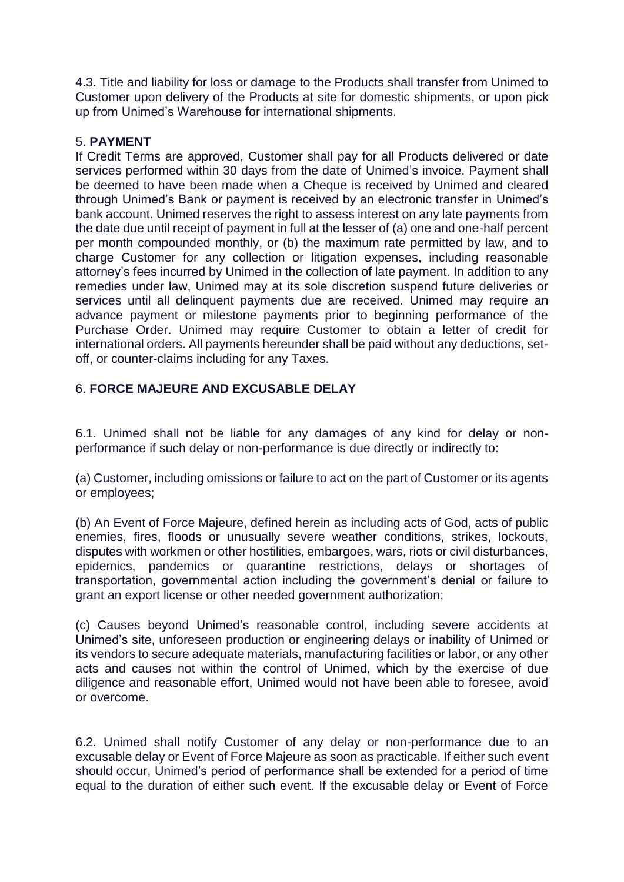4.3. Title and liability for loss or damage to the Products shall transfer from Unimed to Customer upon delivery of the Products at site for domestic shipments, or upon pick up from Unimed's Warehouse for international shipments.

### 5. **PAYMENT**

If Credit Terms are approved, Customer shall pay for all Products delivered or date services performed within 30 days from the date of Unimed's invoice. Payment shall be deemed to have been made when a Cheque is received by Unimed and cleared through Unimed's Bank or payment is received by an electronic transfer in Unimed's bank account. Unimed reserves the right to assess interest on any late payments from the date due until receipt of payment in full at the lesser of (a) one and one-half percent per month compounded monthly, or (b) the maximum rate permitted by law, and to charge Customer for any collection or litigation expenses, including reasonable attorney's fees incurred by Unimed in the collection of late payment. In addition to any remedies under law, Unimed may at its sole discretion suspend future deliveries or services until all delinquent payments due are received. Unimed may require an advance payment or milestone payments prior to beginning performance of the Purchase Order. Unimed may require Customer to obtain a letter of credit for international orders. All payments hereunder shall be paid without any deductions, setoff, or counter-claims including for any Taxes.

# 6. **FORCE MAJEURE AND EXCUSABLE DELAY**

6.1. Unimed shall not be liable for any damages of any kind for delay or nonperformance if such delay or non-performance is due directly or indirectly to:

(a) Customer, including omissions or failure to act on the part of Customer or its agents or employees;

(b) An Event of Force Majeure, defined herein as including acts of God, acts of public enemies, fires, floods or unusually severe weather conditions, strikes, lockouts, disputes with workmen or other hostilities, embargoes, wars, riots or civil disturbances, epidemics, pandemics or quarantine restrictions, delays or shortages of transportation, governmental action including the government's denial or failure to grant an export license or other needed government authorization;

(c) Causes beyond Unimed's reasonable control, including severe accidents at Unimed's site, unforeseen production or engineering delays or inability of Unimed or its vendors to secure adequate materials, manufacturing facilities or labor, or any other acts and causes not within the control of Unimed, which by the exercise of due diligence and reasonable effort, Unimed would not have been able to foresee, avoid or overcome.

6.2. Unimed shall notify Customer of any delay or non-performance due to an excusable delay or Event of Force Majeure as soon as practicable. If either such event should occur, Unimed's period of performance shall be extended for a period of time equal to the duration of either such event. If the excusable delay or Event of Force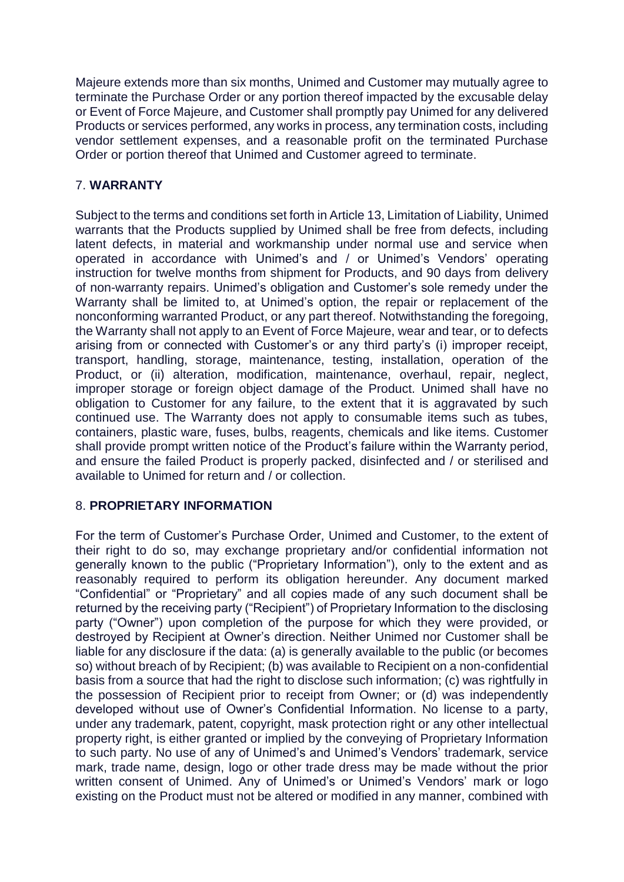Majeure extends more than six months, Unimed and Customer may mutually agree to terminate the Purchase Order or any portion thereof impacted by the excusable delay or Event of Force Majeure, and Customer shall promptly pay Unimed for any delivered Products or services performed, any works in process, any termination costs, including vendor settlement expenses, and a reasonable profit on the terminated Purchase Order or portion thereof that Unimed and Customer agreed to terminate.

# 7. **WARRANTY**

Subject to the terms and conditions set forth in Article 13, Limitation of Liability, Unimed warrants that the Products supplied by Unimed shall be free from defects, including latent defects, in material and workmanship under normal use and service when operated in accordance with Unimed's and / or Unimed's Vendors' operating instruction for twelve months from shipment for Products, and 90 days from delivery of non-warranty repairs. Unimed's obligation and Customer's sole remedy under the Warranty shall be limited to, at Unimed's option, the repair or replacement of the nonconforming warranted Product, or any part thereof. Notwithstanding the foregoing, the Warranty shall not apply to an Event of Force Majeure, wear and tear, or to defects arising from or connected with Customer's or any third party's (i) improper receipt, transport, handling, storage, maintenance, testing, installation, operation of the Product, or (ii) alteration, modification, maintenance, overhaul, repair, neglect, improper storage or foreign object damage of the Product. Unimed shall have no obligation to Customer for any failure, to the extent that it is aggravated by such continued use. The Warranty does not apply to consumable items such as tubes, containers, plastic ware, fuses, bulbs, reagents, chemicals and like items. Customer shall provide prompt written notice of the Product's failure within the Warranty period, and ensure the failed Product is properly packed, disinfected and / or sterilised and available to Unimed for return and / or collection.

# 8. **PROPRIETARY INFORMATION**

For the term of Customer's Purchase Order, Unimed and Customer, to the extent of their right to do so, may exchange proprietary and/or confidential information not generally known to the public ("Proprietary Information"), only to the extent and as reasonably required to perform its obligation hereunder. Any document marked "Confidential" or "Proprietary" and all copies made of any such document shall be returned by the receiving party ("Recipient") of Proprietary Information to the disclosing party ("Owner") upon completion of the purpose for which they were provided, or destroyed by Recipient at Owner's direction. Neither Unimed nor Customer shall be liable for any disclosure if the data: (a) is generally available to the public (or becomes so) without breach of by Recipient; (b) was available to Recipient on a non-confidential basis from a source that had the right to disclose such information; (c) was rightfully in the possession of Recipient prior to receipt from Owner; or (d) was independently developed without use of Owner's Confidential Information. No license to a party, under any trademark, patent, copyright, mask protection right or any other intellectual property right, is either granted or implied by the conveying of Proprietary Information to such party. No use of any of Unimed's and Unimed's Vendors' trademark, service mark, trade name, design, logo or other trade dress may be made without the prior written consent of Unimed. Any of Unimed's or Unimed's Vendors' mark or logo existing on the Product must not be altered or modified in any manner, combined with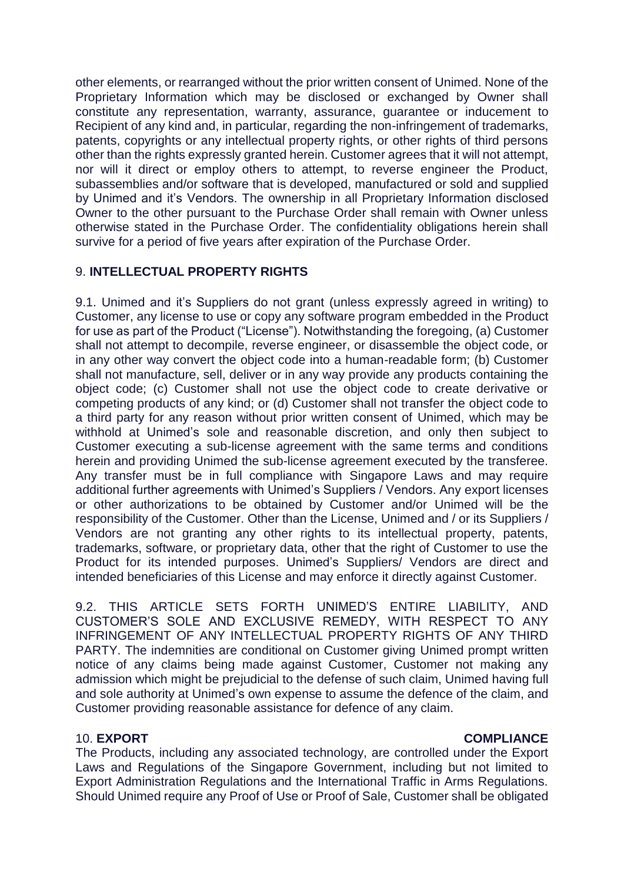other elements, or rearranged without the prior written consent of Unimed. None of the Proprietary Information which may be disclosed or exchanged by Owner shall constitute any representation, warranty, assurance, guarantee or inducement to Recipient of any kind and, in particular, regarding the non-infringement of trademarks, patents, copyrights or any intellectual property rights, or other rights of third persons other than the rights expressly granted herein. Customer agrees that it will not attempt, nor will it direct or employ others to attempt, to reverse engineer the Product, subassemblies and/or software that is developed, manufactured or sold and supplied by Unimed and it's Vendors. The ownership in all Proprietary Information disclosed Owner to the other pursuant to the Purchase Order shall remain with Owner unless otherwise stated in the Purchase Order. The confidentiality obligations herein shall survive for a period of five years after expiration of the Purchase Order.

# 9. **INTELLECTUAL PROPERTY RIGHTS**

9.1. Unimed and it's Suppliers do not grant (unless expressly agreed in writing) to Customer, any license to use or copy any software program embedded in the Product for use as part of the Product ("License"). Notwithstanding the foregoing, (a) Customer shall not attempt to decompile, reverse engineer, or disassemble the object code, or in any other way convert the object code into a human-readable form; (b) Customer shall not manufacture, sell, deliver or in any way provide any products containing the object code; (c) Customer shall not use the object code to create derivative or competing products of any kind; or (d) Customer shall not transfer the object code to a third party for any reason without prior written consent of Unimed, which may be withhold at Unimed's sole and reasonable discretion, and only then subject to Customer executing a sub-license agreement with the same terms and conditions herein and providing Unimed the sub-license agreement executed by the transferee. Any transfer must be in full compliance with Singapore Laws and may require additional further agreements with Unimed's Suppliers / Vendors. Any export licenses or other authorizations to be obtained by Customer and/or Unimed will be the responsibility of the Customer. Other than the License, Unimed and / or its Suppliers / Vendors are not granting any other rights to its intellectual property, patents, trademarks, software, or proprietary data, other that the right of Customer to use the Product for its intended purposes. Unimed's Suppliers/ Vendors are direct and intended beneficiaries of this License and may enforce it directly against Customer.

9.2. THIS ARTICLE SETS FORTH UNIMED'S ENTIRE LIABILITY, AND CUSTOMER'S SOLE AND EXCLUSIVE REMEDY, WITH RESPECT TO ANY INFRINGEMENT OF ANY INTELLECTUAL PROPERTY RIGHTS OF ANY THIRD PARTY. The indemnities are conditional on Customer giving Unimed prompt written notice of any claims being made against Customer, Customer not making any admission which might be prejudicial to the defense of such claim, Unimed having full and sole authority at Unimed's own expense to assume the defence of the claim, and Customer providing reasonable assistance for defence of any claim.

#### 10. **EXPORT COMPLIANCE**

The Products, including any associated technology, are controlled under the Export Laws and Regulations of the Singapore Government, including but not limited to Export Administration Regulations and the International Traffic in Arms Regulations. Should Unimed require any Proof of Use or Proof of Sale, Customer shall be obligated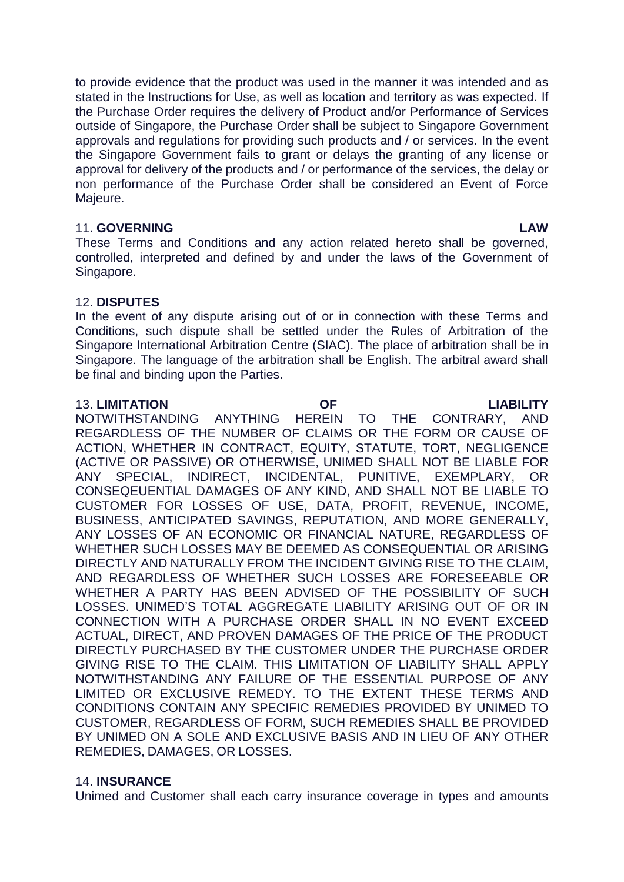to provide evidence that the product was used in the manner it was intended and as stated in the Instructions for Use, as well as location and territory as was expected. If the Purchase Order requires the delivery of Product and/or Performance of Services outside of Singapore, the Purchase Order shall be subject to Singapore Government approvals and regulations for providing such products and / or services. In the event the Singapore Government fails to grant or delays the granting of any license or approval for delivery of the products and / or performance of the services, the delay or non performance of the Purchase Order shall be considered an Event of Force Majeure.

#### 11. **GOVERNING LAW**

These Terms and Conditions and any action related hereto shall be governed, controlled, interpreted and defined by and under the laws of the Government of Singapore.

### 12. **DISPUTES**

In the event of any dispute arising out of or in connection with these Terms and Conditions, such dispute shall be settled under the Rules of Arbitration of the Singapore International Arbitration Centre (SIAC). The place of arbitration shall be in Singapore. The language of the arbitration shall be English. The arbitral award shall be final and binding upon the Parties.

#### 13. **LIMITATION OF LIABILITY**

NOTWITHSTANDING ANYTHING HEREIN TO THE CONTRARY, AND REGARDLESS OF THE NUMBER OF CLAIMS OR THE FORM OR CAUSE OF ACTION, WHETHER IN CONTRACT, EQUITY, STATUTE, TORT, NEGLIGENCE (ACTIVE OR PASSIVE) OR OTHERWISE, UNIMED SHALL NOT BE LIABLE FOR ANY SPECIAL, INDIRECT, INCIDENTAL, PUNITIVE, EXEMPLARY, OR CONSEQEUENTIAL DAMAGES OF ANY KIND, AND SHALL NOT BE LIABLE TO CUSTOMER FOR LOSSES OF USE, DATA, PROFIT, REVENUE, INCOME, BUSINESS, ANTICIPATED SAVINGS, REPUTATION, AND MORE GENERALLY, ANY LOSSES OF AN ECONOMIC OR FINANCIAL NATURE, REGARDLESS OF WHETHER SUCH LOSSES MAY BE DEEMED AS CONSEQUENTIAL OR ARISING DIRECTLY AND NATURALLY FROM THE INCIDENT GIVING RISE TO THE CLAIM, AND REGARDLESS OF WHETHER SUCH LOSSES ARE FORESEEABLE OR WHETHER A PARTY HAS BEEN ADVISED OF THE POSSIBILITY OF SUCH LOSSES. UNIMED'S TOTAL AGGREGATE LIABILITY ARISING OUT OF OR IN CONNECTION WITH A PURCHASE ORDER SHALL IN NO EVENT EXCEED ACTUAL, DIRECT, AND PROVEN DAMAGES OF THE PRICE OF THE PRODUCT DIRECTLY PURCHASED BY THE CUSTOMER UNDER THE PURCHASE ORDER GIVING RISE TO THE CLAIM. THIS LIMITATION OF LIABILITY SHALL APPLY NOTWITHSTANDING ANY FAILURE OF THE ESSENTIAL PURPOSE OF ANY LIMITED OR EXCLUSIVE REMEDY. TO THE EXTENT THESE TERMS AND CONDITIONS CONTAIN ANY SPECIFIC REMEDIES PROVIDED BY UNIMED TO CUSTOMER, REGARDLESS OF FORM, SUCH REMEDIES SHALL BE PROVIDED BY UNIMED ON A SOLE AND EXCLUSIVE BASIS AND IN LIEU OF ANY OTHER REMEDIES, DAMAGES, OR LOSSES.

### 14. **INSURANCE**

Unimed and Customer shall each carry insurance coverage in types and amounts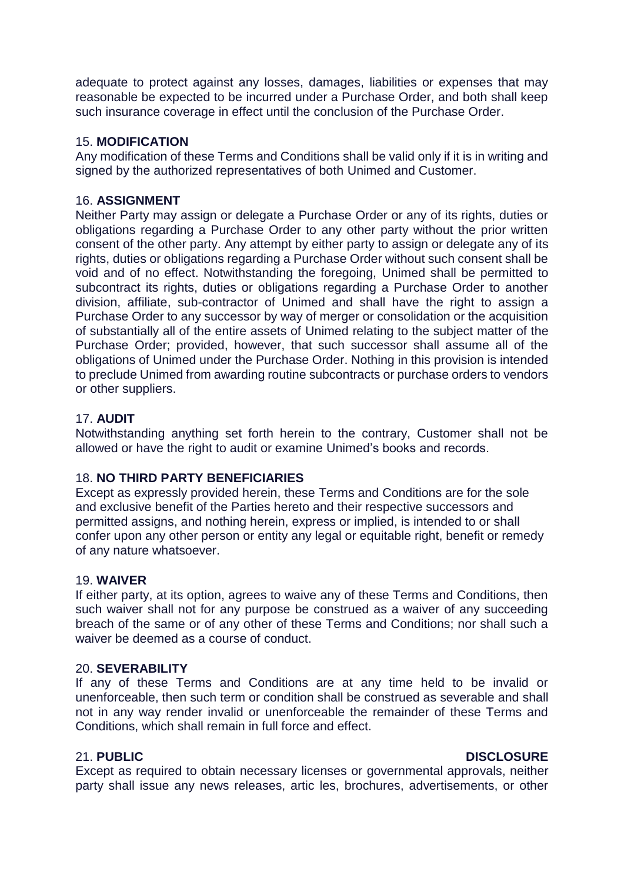adequate to protect against any losses, damages, liabilities or expenses that may reasonable be expected to be incurred under a Purchase Order, and both shall keep such insurance coverage in effect until the conclusion of the Purchase Order.

### 15. **MODIFICATION**

Any modification of these Terms and Conditions shall be valid only if it is in writing and signed by the authorized representatives of both Unimed and Customer.

#### 16. **ASSIGNMENT**

Neither Party may assign or delegate a Purchase Order or any of its rights, duties or obligations regarding a Purchase Order to any other party without the prior written consent of the other party. Any attempt by either party to assign or delegate any of its rights, duties or obligations regarding a Purchase Order without such consent shall be void and of no effect. Notwithstanding the foregoing, Unimed shall be permitted to subcontract its rights, duties or obligations regarding a Purchase Order to another division, affiliate, sub-contractor of Unimed and shall have the right to assign a Purchase Order to any successor by way of merger or consolidation or the acquisition of substantially all of the entire assets of Unimed relating to the subject matter of the Purchase Order; provided, however, that such successor shall assume all of the obligations of Unimed under the Purchase Order. Nothing in this provision is intended to preclude Unimed from awarding routine subcontracts or purchase orders to vendors or other suppliers.

### 17. **AUDIT**

Notwithstanding anything set forth herein to the contrary, Customer shall not be allowed or have the right to audit or examine Unimed's books and records.

## 18. **NO THIRD PARTY BENEFICIARIES**

Except as expressly provided herein, these Terms and Conditions are for the sole and exclusive benefit of the Parties hereto and their respective successors and permitted assigns, and nothing herein, express or implied, is intended to or shall confer upon any other person or entity any legal or equitable right, benefit or remedy of any nature whatsoever.

#### 19. **WAIVER**

If either party, at its option, agrees to waive any of these Terms and Conditions, then such waiver shall not for any purpose be construed as a waiver of any succeeding breach of the same or of any other of these Terms and Conditions; nor shall such a waiver be deemed as a course of conduct.

#### 20. **SEVERABILITY**

If any of these Terms and Conditions are at any time held to be invalid or unenforceable, then such term or condition shall be construed as severable and shall not in any way render invalid or unenforceable the remainder of these Terms and Conditions, which shall remain in full force and effect.

#### 21. **PUBLIC DISCLOSURE**

Except as required to obtain necessary licenses or governmental approvals, neither party shall issue any news releases, artic les, brochures, advertisements, or other